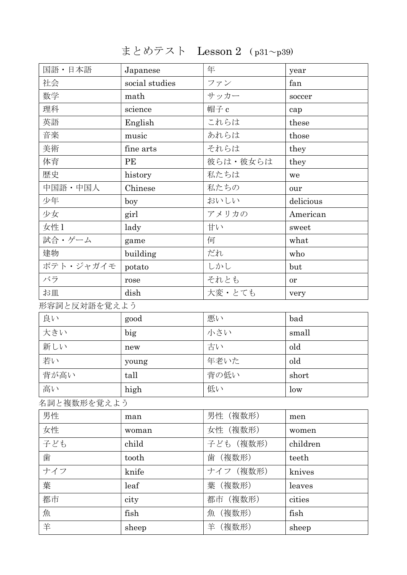まとめテスト Lesson 2 ( p31~p39)

| 国語・日本語       | Japanese       | 年         | year      |
|--------------|----------------|-----------|-----------|
| 社会           | social studies | ファン       | fan       |
| 数学           | math           | サッカー      | soccer    |
| 理科           | science        | 帽子 c      | cap       |
| 英語           | English        | これらは      | these     |
| 音楽           | music          | あれらは      | those     |
| 美術           | fine arts      | それらは      | they      |
| 体育           | PE             | 彼らは・彼女らは  | they      |
| 歴史           | history        | 私たちは      | we        |
| 中国語・中国人      | Chinese        | 私たちの      | our       |
| 少年           | boy            | おいしい      | delicious |
| 少女           | girl           | アメリカの     | American  |
| 女性1          | lady           | 甘い        | sweet     |
| 試合・ゲーム       | game           | 何         | what      |
| 建物           | building       | だれ        | who       |
| ポテト・ジャガイモ    | potato         | しかし       | but       |
| バラ           | rose           | それとも      | or        |
| お皿           | dish           | 大変・とても    | very      |
| 形容詞と反対語を覚えよう |                |           |           |
| 良い           | good           | 悪い        | bad       |
| 大きい          | big            | 小さい       | small     |
| 新しい          | new            | 古い        | old       |
| 若い           | young          | 年老いた      | old       |
| 背が高い         | tall           | 背の低い      | short     |
| 高い           | high           | 低い        | low       |
| 名詞と複数形を覚えよう  |                |           |           |
| 男性           | man            | 男性(複数形)   | men       |
| 女性           | woman          | 女性 (複数形)  | women     |
| 子ども          | child          | 子ども (複数形) | children  |
| 歯            | tooth          | 歯 (複数形)   | teeth     |
| ナイフ          | knife          | ナイフ (複数形) | knives    |
| 葉            | leaf           | 葉 (複数形)   | leaves    |
| 都市           | city           | 都市 (複数形)  | cities    |
| 魚            | fish           | 魚(複数形)    | fish      |
| 羊            | sheep          | 羊 (複数形)   | sheep     |